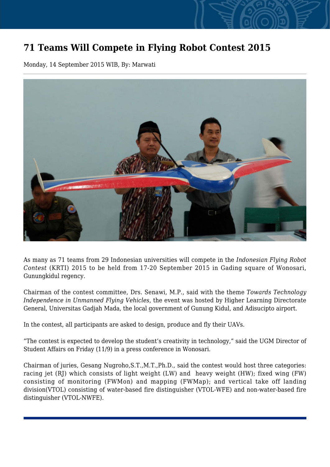## **71 Teams Will Compete in Flying Robot Contest 2015**

Monday, 14 September 2015 WIB, By: Marwati



As many as 71 teams from 29 Indonesian universities will compete in the *Indonesian Flying Robot Contest* (KRTI) 2015 to be held from 17-20 September 2015 in Gading square of Wonosari, Gunungkidul regency.

Chairman of the contest committee, Drs. Senawi, M.P., said with the theme *Towards Technology Independence in Unmanned Flying Vehicles*, the event was hosted by Higher Learning Directorate General, Universitas Gadjah Mada, the local government of Gunung Kidul, and Adisucipto airport.

In the contest, all participants are asked to design, produce and fly their UAVs.

"The contest is expected to develop the student's creativity in technology," said the UGM Director of Student Affairs on Friday (11/9) in a press conference in Wonosari.

Chairman of juries, Gesang Nugroho,S.T.,M.T.,Ph.D., said the contest would host three categories: racing jet (RJ) which consists of light weight (LW) and heavy weight (HW); fixed wing (FW) consisting of monitoring (FWMon) and mapping (FWMap); and vertical take off landing division(VTOL) consisting of water-based fire distinguisher (VTOL-WFE) and non-water-based fire distinguisher (VTOL-NWFE).